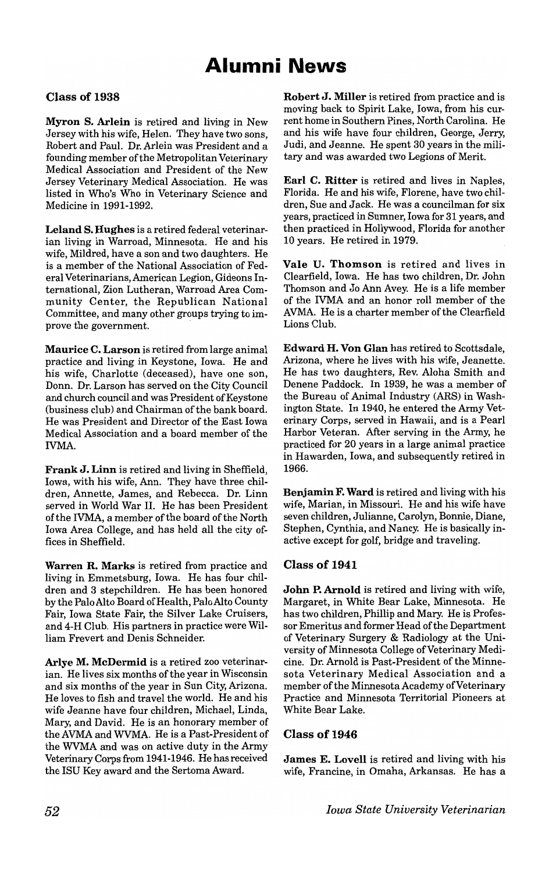# **Alumni News**

## Class of 1938

Myron S. Arlein is retired and living in New Jersey with his wife, Helen. They have two sons, Robert and Paul. Dr. Arlein was President and a founding member of the Metropolitan Veterinary Medical Association and President of the New Jersey Veterinary Medical Association. He was listed in Who's Who in Veterinary Science and Medicine in 1991-1992.

Leland S. Hughes is a retired federal veterinarian living in Warroad, Minnesota. He and his wife, Mildred, have a son and two daughters. He is a member of the National Association of Federal Veterinarians, American Legion, Gideons International, Zion Lutheran, Warroad Area Community Center, the Republican National Committee, and many other groups trying to improve the government. .

Maurice C. Larson is retired from large animal practice and living in Keystone, Iowa. He and his wife, Charlotte (deceased), have one son, Donn. Dr. Larson has served on the City Council and church council and was President of Keystone (business club) and Chairman of the bank board. He was President and Director of the East Iowa Medical Association and a board member of the IVMA.

Frank J. Linn is retired and living in Sheffield, Iowa, with his wife, Ann. They have three children, Annette, James, and Rebecca. Dr. Linn served in World War II. He has been President of the IVMA, a member of the board of the North Iowa Area College, and has held all the city offices in Sheffield.

Warren R. Marks is retired from practice and living in Emmetsburg, Iowa. He has four children and 3 stepchildren. He has been honored by the Palo Alto Board of Health, Palo Alto County Fair, Iowa State Fair, the Silver Lake Cruisers, and 4-H Club. His partners in practice were William Frevert and Denis Schneider.

Arlye M. McDermid is a retired zoo veterinarian. He lives six months of the year in Wisconsin and six months of the year in Sun City, Arizona. He loves to fish and travel the world. He and his wife Jeanne have four children, Michael, Linda, Mary, and David. He is an honorary member of the AVMA and WVMA. He is a Past-President of the WVMA and was on active duty in the Army Veterinary Corps from 1941-1946. He has received the ISU Key award and the Sertoma Award.

Robert J. Miller is retired from practice and is moving back to Spirit Lake, Iowa, from his current home in Southern Pines, North Carolina. He and his wife have four children, George, Jerry, Judi, and Jeanne. He spent 30 years in the military and was awarded two Legions of Merit.

Earl C. Ritter is retired and lives in Naples. Florida. He and his wife, Florene, have two children, Sue and Jack. He was a councilman for six years, practiced in Sumner, Iowa for 31 years, and then practiced in Hollywood, Florida for another 10 years. He retired in 1979.

Vale U. Thomson is retired and lives in Clearfield, Iowa. He has two children, Dr. John Thomson and Jo Ann Avey. He is a life member of the IVMA and an honor roll member of the AVMA. He is a charter member of the Clearfield Lions Club.

Edward H. Von Glan has retired to Scottsdale, Arizona, where he lives with his wife, Jeanette. He has two daughters, Rev. Aloha Smith and Denene Paddock. In 1939, he was a member of the Bureau of Animal Industry (ARS) in Washington State. In 1940, he entered the Army Veterinary Corps, served in Hawaii, and is a Pearl Harbor Veteran. After serving in the Army, he practiced for 20 years in a large animal practice in Hawarden, Iowa, and subsequently retired in 1966.

Benjamin F. Ward is retired and living with his wife, Marian, in Missouri. He and his wife have seven children, Julianne, Carolyn, Bonnie, Diane, Stephen, Cynthia, and Nancy. He is basically inactive except for golf, bridge and traveling.

#### Class of 1941

John P. Arnold is retired and living with wife, Margaret, in White Bear Lake, Minnesota. He has two children, Phillip and Mary. He is Professor Emeritus and former Head of the Department of Veterinary Surgery & Radiology at the University of Minnesota College of Veterinary Medicine. Dr. Arnold is Past-President of the Minnesota Veterinary Medical Association and a member of the Minnesota Academy of Veterinary Practice and Minnesota Territorial Pioneers at White Bear Lake.

#### Class of 1946

James E. Lovell is retired and living with his wife, Francine, in Omaha, Arkansas. He has a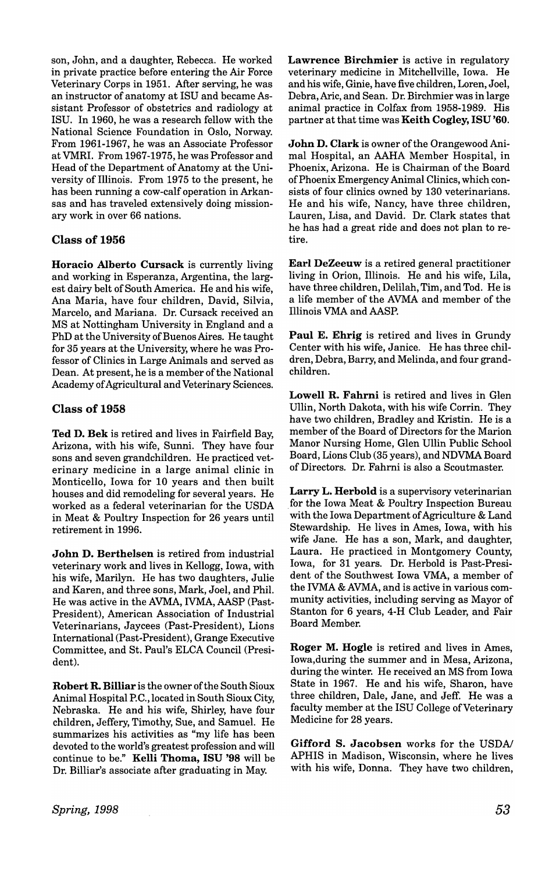son, John, and a daughter, Rebecca. He worked in private practice before entering the Air Force Veterinary Corps in 1951. After serving, he was an instructor of anatomy at ISU and became Assistant Professor of obstetrics and radiology at ISU. In 1960, he was a research fellow with the National Science Foundation in Oslo, Norway. From 1961-1967, he was an Associate Professor atVMRI. From 1967-1975, he was Professor and Head of the Department of Anatomy at the University of Illinois. From 1975 to the present, he has been running a cow-calf operation in Arkansas and has traveled extensively doing missionary work in over 66 nations.

## Class of 1956

Horacio Alberto Cursack is currently living and working in Esperanza, Argentina, the largest dairy belt of South America. He and his wife, Ana Maria, have four children, David, Silvia, Marcelo, and Mariana. Dr. Cursack received an MS at Nottingham University in England and a PhD at the University of Buenos Aires. He taught for 35 years at the University, where he was Professor of Clinics in Large Animals and served as Dean. At present, he is a member of the National Academy of Agricultural and Veterinary Sciences.

#### Class of 1958

Ted D. Bek is retired and lives in Fairfield Bay, Arizona, with his wife, Sunni. They have four sons and seven grandchildren. He practiced veterinary medicine in a large animal clinic in Monticello, Iowa for 10 years and then built houses and did remodeling for several years. He worked as a federal veterinarian for the USDA in Meat & Poultry Inspection for 26 years until retirement in 1996.

John D. Berthelsen is retired from industrial veterinary work and lives in Kellogg, Iowa, with his wife, Marilyn. He has two daughters, Julie and Karen, and three sons, Mark, Joel, and Phil. He was active in the AVMA, IVMA, AASP (Past-President), American Association of Industrial Veterinarians, Jaycees (Past-President), Lions International (Past-President), Grange Executive Committee, and St. Paul's ELCA Council (President).

Robert R. Billiar is the owner of the South Sioux Animal Hospital P.C., located in South Sioux City, Nebraska. He and his wife, Shirley, have four children, Jeffery, Timothy, Sue, and Samuel. He summarizes his activities as "my life has been devoted to the world's greatest profession and will continue to be." Kelli Thoma, ISU '98 will be Dr. Billiar's associate after graduating in May.

Lawrence Birchmier is active in regulatory veterinary medicine in Mitchellville, Iowa. He and his wife, Ginie, have five children, Loren, Joel, Debra, Aric, and Sean. Dr. Birchmier was in large animal practice in Colfax from 1958-1989. His partner at that time was Keith Cogley, ISU '60.

John D. Clark is owner of the Orangewood Animal Hospital, an AAHA Member Hospital, in Phoenix, Arizona. He is Chairman of the Board of Phoenix Emergency Animal Clinics, which consists of four clinics owned by 130 veterinarians. He and his wife, Nancy, have three children, Lauren, Lisa, and David. Dr. Clark states that he has had a great ride and does not plan to retire.

Earl DeZeeuw is a retired general practitioner living in Orion, Illinois. He and his wife, Lila, have three children, Delilah, Tim, and Tod. He is a life member of the AVMA and member of the Illinois VMA and AASP.

Paul E. Ehrig is retired and lives in Grundy Center with his wife, Janice. He has three children, Debra, Barry, and Melinda, and four grandchildren.

Lowell R. Fahrni is retired and lives in Glen Ullin, North Dakota, with his wife Corrin. They have two children, Bradley and Kristin. He is a member of the Board of Directors for the Marion Manor Nursing Home, Glen Ullin Public School Board, Lions Club (35 years), and NDVMA Board of Directors. Dr. Fahrni is also a Scoutmaster.

Larry L. Herbold is a supervisory veterinarian for the Iowa Meat & Poultry Inspection Bureau with the Iowa Department of Agriculture & Land Stewardship. He lives in Ames, Iowa, with his wife Jane. He has a son, Mark, and daughter, Laura. He practiced in Montgomery County, Iowa, for 31 years. Dr. Herbold is Past-President of the Southwest Iowa VMA, a member of the IVMA & AVMA, and is active in various community activities, including serving as Mayor of Stanton for 6 years, 4-H Club Leader, and Fair Board Member.

Roger M. Hogle is retired and lives in Ames, Iowa,during the summer and in Mesa, Arizona, during the winter. He received an MS from Iowa State in 1967. He and his wife, Sharon, have three children, Dale, Jane, and Jeff. He was a faculty member at the ISU College of Veterinary Medicine for 28 years.

Gifford S. Jacobsen works for the USDA/ APHIS in Madison, Wisconsin, where he lives with his wife, Donna. They have two children,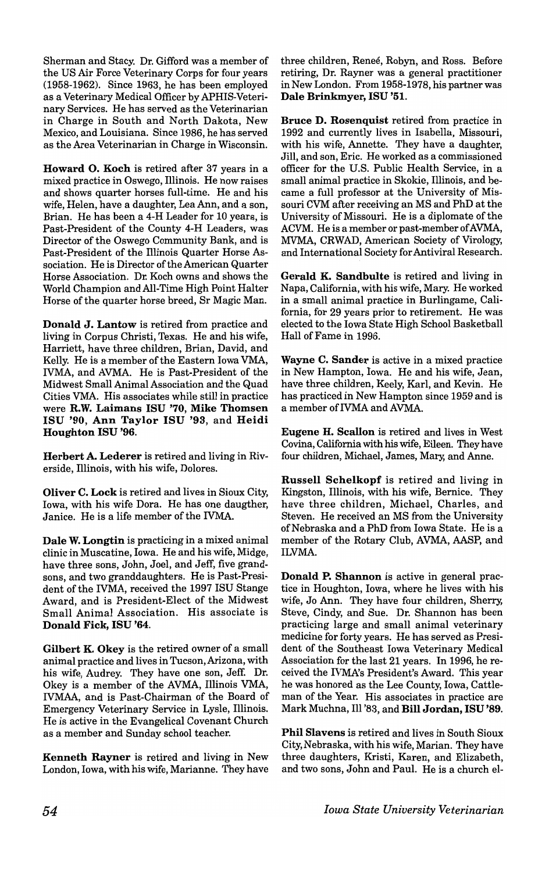Sherman and Stacy. Dr. Gifford was a member of the US Air Force Veterinary Corps for four years (1958-1962). Since 1963, he has been employed as a Veterinary Medical Officer by APHIS-Veterinary Services. He has served as the Veterinarian in Charge in South and North Dakota, New Mexico, and Louisiana. Since 1986, he has served as the Area Veterinarian in Charge in Wisconsin.

Howard O. Koch is retired after 37 years in a mixed practice in Oswego, Illinois. He now raises and shows quarter horses full-time. He and his wife, Helen, have a daughter, Lea Ann, and a son, Brian. He has been a 4-H Leader for 10 years, is Past-President of the County 4-H Leaders, was Director of the Oswego Community Bank, and is Past-President of the Illinois Quarter Horse Association. He is Director of the American Quarter Horse Association. Dr. Koch owns and shows the World Champion and All-Time High Point Halter Horse of the quarter horse breed, Sr Magic Man.

Donald J. Lantow is retired from practice and living in Corpus Christi, Texas. He and his wife, Harriett, have three children, Brian, David, and Kelly. He is a member of the Eastern Iowa VMA, IVMA, and AVMA. He is Past-President of the Midwest Small Animal Association and the Quad Cities VMA. His associates while still in practice were R.W. Laimans ISU '70, Mike Thomsen ISU '90, Ann Taylor ISU '93, and Heidi Houghton ISU '96.

Herbert A. Lederer is retired and living in Riverside, Illinois, with his wife, Dolores.

Oliver C. Lock is retired and lives in Sioux City, Iowa, with his wife Dora. He has one daugther, Janice. He is a life member of the IVMA.

Dale W. Longtin is practicing in a mixed animal clinic in Muscatine, Iowa. He and his wife, Midge, have three sons, John, Joel, and Jeff, five grandsons, and two granddaughters. He is Past-President of the IVMA, received the 1997 ISU Stange Award, and is President-Elect of the Midwest Small Animal Association. His associate is Donald Fick, ISU '64.

Gilbert K. Okey is the retired owner of a small animal practice and lives in Tucson, Arizona, with his wife, Audrey. They have one son, Jeff. Dr. Okey is a member of the AVMA, Illinois VMA, IVMAA, and is Past-Chairman of the Board of Emergency Veterinary Service in Lysle, Illinois. He is active in the Evangelical Covenant Church as a member and Sunday school teacher.

Kenneth Rayner is retired and living in New London, Iowa, with his wife, Marianne. They have

three children, Renee, Robyn, and Ross. Before retiring, Dr. Rayner was a general practitioner in New London. From 1958-1978, his partner was Dale Brinkmyer, ISU '51.

Bruce D. Rosenquist retired from practice in 1992 and currently lives in Isabella, Missouri, with his wife, Annette. They have a daughter, Jill, and son, Eric. He worked as a commissioned officer for the U.S. Public Health Service, in a small animal practice in Skokie, Illinois, and became a full professor at the University of Missouri CVM after receiving an MS and PhD at the University of Missouri. He is a diplomate of the ACVM. He is a member or past-member of AVMA, MVMA, CRWAD, American Society of Virology, and International Society for Antiviral Research.

Gerald K. Sandbulte is retired and living in Napa, California, with his wife, Mary. He worked in a small animal practice in Burlingame, California, for 29 years prior to retirement. He was elected to the Iowa State High School Basketball Hall of Fame in 1996.

Wayne C. Sander is active in a mixed practice in New Hampton, Iowa. He and his wife, Jean, have three children, Keely, Karl, and Kevin. He has practiced in New Hampton since 1959 and is a member of IVMA and AVMA.

Eugene H. Scallon is retired and lives in West Covina, California with his wife, Eileen. They have four children, Michael, James, Mary, and Anne.

Russell Schelkopf is retired and living in Kingston, Illinois, with his wife, Bernice. They have three children, Michael, Charles, and Steven. He received an MS from the University of Nebraska and a PhD from Iowa State. He is a member of the Rotary Club, AVMA, AASP, and ILVMA.

Donald P. Shannon is active in general practice in Houghton, Iowa, where he lives with his wife, Jo Ann. They have four children, Sherry, Steve, Cindy, and Sue. Dr. Shannon has been practicing large and small animal veterinary medicine for forty years. He has served as President of the Southeast Iowa Veterinary Medical Association for the last 21 years. In 1996, he received the IVMA's President's Award. This year he was honored as the Lee County, Iowa, Cattleman of the Year. His associates in practice are Mark Muchna, III '83, and Bill Jordan, ISU '89.

Phil Slavens is retired and lives in South Sioux City, Nebraska, with his wife, Marian. They have three daughters, Kristi, Karen, and Elizabeth, and two sons, John and Paul. He is a church el